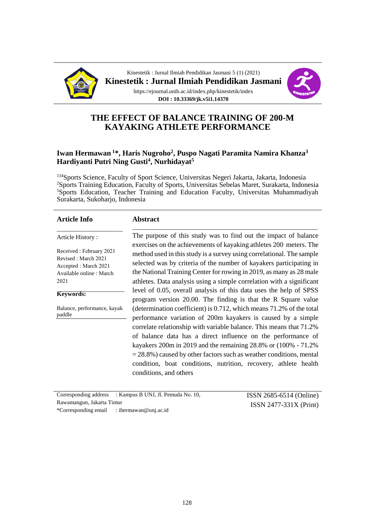

Kinestetik : Jurnal Ilmiah Pendidikan Jasmani 5 (1) (2021) **Kinestetik : Jurnal Ilmiah Pendidikan Jasmani** https://ejournal.unib.ac.id/index.php/kinestetik/index **DOI : 10.33369/jk.v5i1.14370**



# **THE EFFECT OF BALANCE TRAINING OF 200-M KAYAKING ATHLETE PERFORMANCE**

### **Iwan Hermawan <sup>1</sup>\*, Haris Nugroho<sup>2</sup> , Puspo Nagati Paramita Namira Khanza<sup>3</sup> Hardiyanti Putri Ning Gusti<sup>4</sup> , Nurhidayat<sup>5</sup>**

Sports Science, Faculty of Sport Science, Universitas Negeri Jakarta, Jakarta, Indonesia Sports Training Education, Faculty of Sports, Universitas Sebelas Maret, Surakarta, Indonesia Sports Education, Teacher Training and Education Faculty, Universitas Muhammadiyah Surakarta, Sukoharjo, Indonesia

| <b>Article Info</b>                                                                                        | <b>Abstract</b>                                                                                                                                                                                                                                                                                                                                                                                                                                                                                                                  |  |  |  |
|------------------------------------------------------------------------------------------------------------|----------------------------------------------------------------------------------------------------------------------------------------------------------------------------------------------------------------------------------------------------------------------------------------------------------------------------------------------------------------------------------------------------------------------------------------------------------------------------------------------------------------------------------|--|--|--|
| Article History:                                                                                           | The purpose of this study was to find out the impact of balance                                                                                                                                                                                                                                                                                                                                                                                                                                                                  |  |  |  |
| Received: February 2021<br>Revised: March 2021<br>Accepted : March 2021<br>Available online: March<br>2021 | exercises on the achievements of kayaking athletes 200 meters. The<br>method used in this study is a survey using correlational. The sample<br>selected was by criteria of the number of kayakers participating in<br>the National Training Center for rowing in 2019, as many as 28 male<br>athletes. Data analysis using a simple correlation with a significant<br>level of 0.05, overall analysis of this data uses the help of SPSS<br>program version 20.00. The finding is that the R Square value                        |  |  |  |
| Keywords:                                                                                                  |                                                                                                                                                                                                                                                                                                                                                                                                                                                                                                                                  |  |  |  |
| Balance, performance, kayak<br>paddle                                                                      | (determination coefficient) is $0.712$ , which means $71.2\%$ of the total<br>performance variation of 200m kayakers is caused by a simple<br>correlate relationship with variable balance. This means that 71.2%<br>of balance data has a direct influence on the performance of<br>kayakers 200m in 2019 and the remaining $28.8\%$ or $(100\% - 71.2\%$<br>$=$ 28.8%) caused by other factors such as weather conditions, mental<br>condition, boat conditions, nutrition, recovery, athlete health<br>conditions, and others |  |  |  |

Corresponding address : Kampus B UNJ, Jl. Pemuda No. 10, Rawamangun, Jakarta Timur \*Corresponding email : ihermawan@unj.ac.id

ISSN 2685-6514 (Online) ISSN 2477-331X (Print)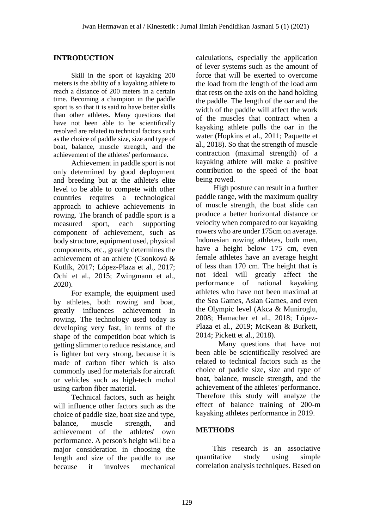### **INTRODUCTION**

Skill in the sport of kayaking 200 meters is the ability of a kayaking athlete to reach a distance of 200 meters in a certain time. Becoming a champion in the paddle sport is so that it is said to have better skills than other athletes. Many questions that have not been able to be scientifically resolved are related to technical factors such as the choice of paddle size, size and type of boat, balance, muscle strength, and the achievement of the athletes' performance.

Achievement in paddle sport is not only determined by good deployment and breeding but at the athlete's elite level to be able to compete with other countries requires a technological approach to achieve achievements in rowing. The branch of paddle sport is a measured sport, each supporting component of achievement, such as body structure, equipment used, physical components, etc., greatly determines the achievement of an athlete (Csonková & Kutlík, 2017; López-Plaza et al., 2017; Ochi et al., 2015; Zwingmann et al., 2020).

For example, the equipment used by athletes, both rowing and boat, greatly influences achievement in rowing. The technology used today is developing very fast, in terms of the shape of the competition boat which is getting slimmer to reduce resistance, and is lighter but very strong, because it is made of carbon fiber which is also commonly used for materials for aircraft or vehicles such as high-tech mohol using carbon fiber material.

Technical factors, such as height will influence other factors such as the choice of paddle size, boat size and type, balance, muscle strength, and achievement of the athletes' own performance. A person's height will be a major consideration in choosing the length and size of the paddle to use because it involves mechanical

calculations, especially the application of lever systems such as the amount of force that will be exerted to overcome the load from the length of the load arm that rests on the axis on the hand holding the paddle. The length of the oar and the width of the paddle will affect the work of the muscles that contract when a kayaking athlete pulls the oar in the water (Hopkins et al., 2011; Paquette et al., 2018). So that the strength of muscle contraction (maximal strength) of a kayaking athlete will make a positive contribution to the speed of the boat being rowed.

High posture can result in a further paddle range, with the maximum quality of muscle strength, the boat slide can produce a better horizontal distance or velocity when compared to our kayaking rowers who are under 175cm on average. Indonesian rowing athletes, both men, have a height below 175 cm, even female athletes have an average height of less than 170 cm. The height that is not ideal will greatly affect the performance of national kayaking athletes who have not been maximal at the Sea Games, Asian Games, and even the Olympic level (Akca & Muniroglu, 2008; Hamacher et al., 2018; López-Plaza et al., 2019; McKean & Burkett, 2014; Pickett et al., 2018).

Many questions that have not been able be scientifically resolved are related to technical factors such as the choice of paddle size, size and type of boat, balance, muscle strength, and the achievement of the athletes' performance. Therefore this study will analyze the effect of balance training of 200-m kayaking athletes performance in 2019.

# **METHODS**

This research is an associative quantitative study using simple correlation analysis techniques. Based on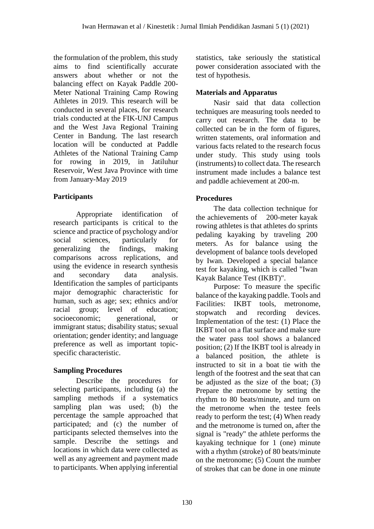the formulation of the problem, this study aims to find scientifically accurate answers about whether or not the balancing effect on Kayak Paddle 200- Meter National Training Camp Rowing Athletes in 2019. This research will be conducted in several places, for research trials conducted at the FIK-UNJ Campus and the West Java Regional Training Center in Bandung. The last research location will be conducted at Paddle Athletes of the National Training Camp for rowing in 2019, in Jatiluhur Reservoir, West Java Province with time from January-May 2019

# **Participants**

Appropriate identification of research participants is critical to the science and practice of psychology and/or social sciences, particularly for<br>generalizing the findings, making generalizing the findings, making comparisons across replications, and using the evidence in research synthesis and secondary data analysis. Identification the samples of participants major demographic characteristic for human, such as age; sex; ethnics and/or racial group; level of education; socioeconomic; generational, or immigrant status; disability status; sexual orientation; gender identity; and language preference as well as important topicspecific characteristic.

# **Sampling Procedures**

Describe the procedures for selecting participants, including (a) the sampling methods if a systematics sampling plan was used; (b) the percentage the sample approached that participated; and (c) the number of participants selected themselves into the sample. Describe the settings and locations in which data were collected as well as any agreement and payment made to participants. When applying inferential statistics, take seriously the statistical power consideration associated with the test of hypothesis.

# **Materials and Apparatus**

Nasir said that data collection techniques are measuring tools needed to carry out research. The data to be collected can be in the form of figures, written statements, oral information and various facts related to the research focus under study. This study using tools (instruments) to collect data. The research instrument made includes a balance test and paddle achievement at 200-m.

# **Procedures**

The data collection technique for the achievements of 200-meter kayak rowing athletes is that athletes do sprints pedaling kayaking by traveling 200 meters. As for balance using the development of balance tools developed by Iwan. Developed a special balance test for kayaking, which is called "Iwan Kayak Balance Test (IKBT)".

Purpose: To measure the specific balance of the kayaking paddle. Tools and Facilities: IKBT tools, metronome, stopwatch and recording devices. Implementation of the test: (1) Place the IKBT tool on a flat surface and make sure the water pass tool shows a balanced position; (2) If the IKBT tool is already in a balanced position, the athlete is instructed to sit in a boat tie with the length of the footrest and the seat that can be adjusted as the size of the boat;  $(3)$ Prepare the metronome by setting the rhythm to 80 beats/minute, and turn on the metronome when the testee feels ready to perform the test; (4) When ready and the metronome is turned on, after the signal is "ready" the athlete performs the kayaking technique for 1 (one) minute with a rhythm (stroke) of 80 beats/minute on the metronome; (5) Count the number of strokes that can be done in one minute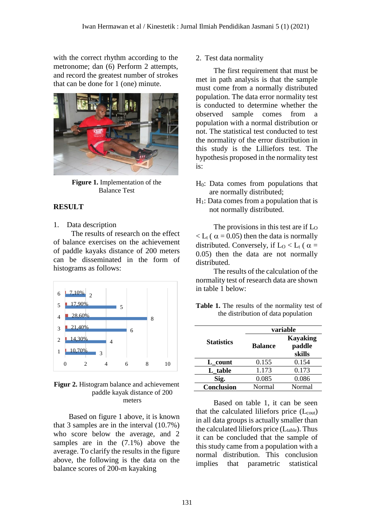with the correct rhythm according to the metronome; dan (6) Perform 2 attempts, and record the greatest number of strokes that can be done for 1 (one) minute.



**Figure 1.** Implementation of the Balance Test

### **RESULT**

#### 1. Data description

The results of research on the effect of balance exercises on the achievement of paddle kayaks distance of 200 meters can be disseminated in the form of histograms as follows:



**Figur 2.** Histogram balance and achievement paddle kayak distance of 200 meters

Based on figure 1 above, it is known that 3 samples are in the interval (10.7%) who score below the average, and 2 samples are in the (7.1%) above the average. To clarify the results in the figure above, the following is the data on the balance scores of 200-m kayaking

#### 2. Test data normality

The first requirement that must be met in path analysis is that the sample must come from a normally distributed population. The data error normality test is conducted to determine whether the observed sample comes from a population with a normal distribution or not. The statistical test conducted to test the normality of the error distribution in this study is the Lilliefors test. The hypothesis proposed in the normality test is:

- H0: Data comes from populations that are normally distributed;
- $H<sub>1</sub>$ : Data comes from a population that is not normally distributed.

The provisions in this test are if  $\text{L}_0$  $\langle L_t ( \alpha = 0.05) \rangle$  then the data is normally distributed. Conversely, if  $L_0 < L_t$  ( $\alpha =$ 0.05) then the data are not normally distributed.

The results of the calculation of the normality test of research data are shown in table 1 below:

|                                     | <b>Table 1.</b> The results of the normality test of |  |  |  |  |
|-------------------------------------|------------------------------------------------------|--|--|--|--|
| the distribution of data population |                                                      |  |  |  |  |

|                   | variable       |                                     |  |
|-------------------|----------------|-------------------------------------|--|
| <b>Statistics</b> | <b>Balance</b> | <b>Kayaking</b><br>paddle<br>skills |  |
| L count           | 0.155          | 0.154                               |  |
| L_table           | 1.173          | 0.173                               |  |
| Sig.              | 0.085          | 0.086                               |  |
| Conclusion        | Normal         | Normal                              |  |

Based on table 1, it can be seen that the calculated liliefors price  $(L_{\text{cout}})$ in all data groups is actually smaller than the calculated liliefors price  $(L_{table})$ . Thus it can be concluded that the sample of this study came from a population with a normal distribution. This conclusion implies that parametric statistical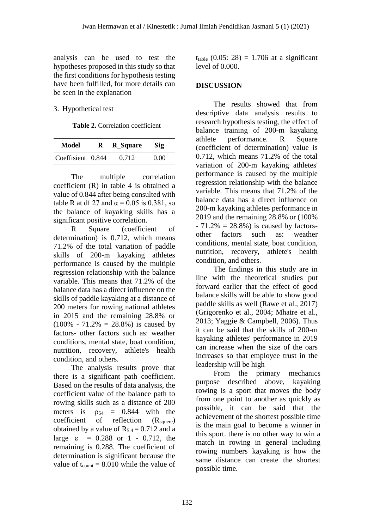analysis can be used to test the hypotheses proposed in this study so that the first conditions for hypothesis testing have been fulfilled, for more details can be seen in the explanation

### 3. Hypothetical test

**Table 2.** Correlation coefficient

| Model             | $\mathbf{R}$ | <b>R_Square</b> | <b>Sig</b> |
|-------------------|--------------|-----------------|------------|
| Coeffisient 0.844 |              | 0.712           | 0.00       |

The multiple correlation coefficient (R) in table 4 is obtained a value of 0.844 after being consulted with table R at df 27 and  $\alpha$  = 0.05 is 0.381, so the balance of kayaking skills has a significant positive correlation.

R Square (coefficient of determination) is 0.712, which means 71.2% of the total variation of paddle skills of 200-m kayaking athletes performance is caused by the multiple regression relationship with the balance variable. This means that 71.2% of the balance data has a direct influence on the skills of paddle kayaking at a distance of 200 meters for rowing national athletes in 2015 and the remaining 28.8% or  $(100\% - 71.2\% = 28.8\%)$  is caused by factors- other factors such as: weather conditions, mental state, boat condition, nutrition, recovery, athlete's health condition, and others.

The analysis results prove that there is a significant path coefficient. Based on the results of data analysis, the coefficient value of the balance path to rowing skills such as a distance of 200 meters is  $\rho_{54} = 0.844$  with the  $coefficient$  of reflection  $(R_{source})$ obtained by a value of  $R_{5,4} = 0.712$  and a large  $\varepsilon = 0.288$  or 1 - 0.712, the remaining is 0.288. The coefficient of determination is significant because the value of  $t_{\text{count}} = 8.010$  while the value of t<sub>table</sub>  $(0.05: 28) = 1.706$  at a significant level of 0.000.

# **DISCUSSION**

The results showed that from descriptive data analysis results to research hypothesis testing, the effect of balance training of 200-m kayaking athlete performance. R Square (coefficient of determination) value is 0.712, which means 71.2% of the total variation of 200-m kayaking athletes' performance is caused by the multiple regression relationship with the balance variable. This means that 71.2% of the balance data has a direct influence on 200-m kayaking athletes performance in 2019 and the remaining 28.8% or (100%  $-71.2\% = 28.8\%$  is caused by factorsother factors such as: weather conditions, mental state, boat condition, nutrition, recovery, athlete's health condition, and others.

The findings in this study are in line with the theoretical studies put forward earlier that the effect of good balance skills will be able to show good paddle skills as well (Rawe et al., 2017) (Grigorenko et al., 2004; Mhatre et al., 2013; Yaggie & Campbell, 2006). Thus it can be said that the skills of 200-m kayaking athletes' performance in 2019 can increase when the size of the oars increases so that employee trust in the leadership will be high

From the primary mechanics purpose described above, kayaking rowing is a sport that moves the body from one point to another as quickly as possible, it can be said that the achievement of the shortest possible time is the main goal to become a winner in this sport. there is no other way to win a match in rowing in general including rowing numbers kayaking is how the same distance can create the shortest possible time.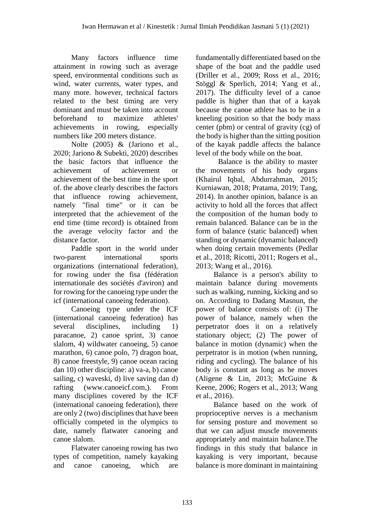Many factors influence time attainment in rowing such as average speed, environmental conditions such as wind, water currents, water types, and many more. however, technical factors related to the best timing are very dominant and must be taken into account beforehand to maximize athletes' achievements in rowing, especially numbers like 200 meters distance.

Nolte (2005) & (Jariono et al., 2020; Jariono & Subekti, 2020) describes the basic factors that influence the achievement of achievement or achievement of the best time in the sport of. the above clearly describes the factors that influence rowing achievement, namely "final time" or it can be interpreted that the achievement of the end time (time record) is obtained from the average velocity factor and the distance factor.

Paddle sport in the world under two-parent international sports organizations (international federation), for rowing under the fisa (fédération internationale des sociétés d'aviron) and for rowing for the canoeing type under the icf (international canoeing federation).

Canoeing type under the ICF (international canoeing federation) has several disciplines, including 1) paracanoe, 2) canoe sprint, 3) canoe slalom, 4) wildwater canoeing, 5) canoe marathon, 6) canoe polo, 7) dragon boat, 8) canoe freestyle, 9) canoe ocean racing dan 10) other discipline: a) va-a, b) canoe sailing, c) waveski, d) live saving dan d) rafting [\(www.canoeicf.com,](http://www.canoeicf.com/)). From many disciplines covered by the ICF (international canoeing federation), there are only 2 (two) disciplines that have been officially competed in the olympics to date, namely flatwater canoeing and canoe slalom.

Flatwater canoeing rowing has two types of competition, namely kayaking and canoe canoeing, which are fundamentally differentiated based on the shape of the boat and the paddle used (Driller et al., 2009; Ross et al., 2016; Stöggl & Sperlich, 2014; Yang et al., 2017). The difficulty level of a canoe paddle is higher than that of a kayak because the canoe athlete has to be in a kneeling position so that the body mass center (pbm) or central of gravity (cg) of the body is higher than the sitting position of the kayak paddle affects the balance level of the body while on the boat.

Balance is the ability to master the movements of his body organs (Khairul Iqbal, Abdurrahman, 2015; Kurniawan, 2018; Pratama, 2019; Tang, 2014). In another opinion, balance is an activity to hold all the forces that affect the composition of the human body to remain balanced. Balance can be in the form of balance (static balanced) when standing or dynamic (dynamic balanced) when doing certain movements (Pedlar et al., 2018; Ricotti, 2011; Rogers et al., 2013; Wang et al., 2016).

Balance is a person's ability to maintain balance during movements such as walking, running, kicking and so on. According to Dadang Masnun, the power of balance consists of: (i) The power of balance, namely when the perpetrator does it on a relatively stationary object; (2) The power of balance in motion (dynamic) when the perpetrator is in motion (when running, riding and cycling). The balance of his body is constant as long as he moves (Aligene & Lin, 2013; McGuine & Keene, 2006; Rogers et al., 2013; Wang et al., 2016).

Balance based on the work of proprioceptive nerves is a mechanism for sensing posture and movement so that we can adjust muscle movements appropriately and maintain balance.The findings in this study that balance in kayaking is very important, because balance is more dominant in maintaining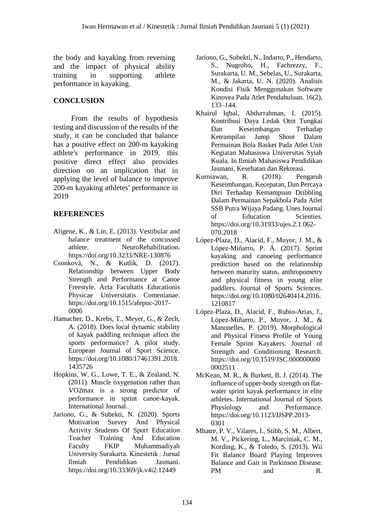the body and kayaking from reversing and the impact of physical ability training in supporting athlete performance in kayaking.

### **CONCLUSION**

From the results of hypothesis testing and discussion of the results of the study, it can be concluded that balance has a positive effect on 200-m kayaking athlete's performance in 2019. this positive direct effect also provides direction on an implication that in applying the level of balance to improve 200-m kayaking athletes' performance in 2019

### **REFERENCES**

- Aligene, K., & Lin, E. (2013). Vestibular and balance treatment of the concussed athlete. NeuroRehabilitation. https://doi.org/10.3233/NRE-130876
- Csonková, N., & Kutlík, D. (2017). Relationship between Upper Body Strength and Performance at Canoe Freestyle. Acta Facultatis Educationis Physicae Universitatis Comenianae. https://doi.org/10.1515/afepuc-2017- 0006
- Hamacher, D., Krebs, T., Meyer, G., & Zech, A. (2018). Does local dynamic stability of kayak paddling technique affect the sports performance? A pilot study. European Journal of Sport Science. https://doi.org/10.1080/17461391.2018. 1435726
- Hopkins, W. G., Lowe, T. E., & Zealand, N. (2011). Muscle oxygenation rather than VO2max is a strong predictor of performance in sprint canoe-kayak. International Journal.
- Jariono, G., & Subekti, N. (2020). Sports Motivation Survey And Physical Activity Students Of Sport Education Teacher Training And Education Faculty FKIP Muhammadiyah University Surakarta. Kinestetik : Jurnal Ilmiah Pendidikan Jasmani. https://doi.org/10.33369/jk.v4i2.12449
- Jariono, G., Subekti, N., Indarto, P., Hendarto, S., Nugroho, H., Fachrezzy, F., Surakarta, U. M., Sebelas, U., Surakarta, M., & Jakarta, U. N. (2020). Analisis Kondisi Fisik Menggunakan Software Kinovea Pada Atlet Pendahuluan. 16(2), 133–144.
- Khairul Iqbal, Abdurrahman, I. (2015). Kontribusi Daya Ledak Otot Tungkai Dan Keseimbangan Terhadap Ketrampilan Jump Shoot Dalam Permainan Bola Basket Pada Atlet Unit Kegiatan Mahasiswa Universitas Syiah Kuala. In Ilmiah Mahasiswa Pendidikan Jasmani, Kesehatan dan Rekreasi.
- Kurniawan, R. (2018). Pengaruh Keseimbangan, Kecepatan, Dan Percaya Diri Terhadap Kemampuan Dribbling Dalam Permainan Sepakbola Pada Atlet SSB Putra Wijaya Padang. Unes Journal of Education Scienties. https://doi.org/10.31933/ujes.2.1.062- 070.2018
- López-Plaza, D., Alacid, F., Muyor, J. M., & López-Miñarro, P. Á. (2017). Sprint kayaking and canoeing performance prediction based on the relationship between maturity status, anthropometry and physical fitness in young elite paddlers. Journal of Sports Sciences. https://doi.org/10.1080/02640414.2016. 1210817
- López-Plaza, D., Alacid, F., Rubio-Arias, J., López-Miñarro, P., Muyor, J. M., & Manonelles, P. (2019). Morphological and Physical Fitness Profile of Young Female Sprint Kayakers. Journal of Strength and Conditioning Research. https://doi.org/10.1519/JSC.000000000 0002511
- McKean, M. R., & Burkett, B. J. (2014). The influence of upper-body strength on flatwater sprint kayak performance in elite athletes. International Journal of Sports Physiology and Performance. https://doi.org/10.1123/IJSPP.2013- 0301
- Mhatre, P. V., Vilares, I., Stibb, S. M., Albert, M. V., Pickering, L., Marciniak, C. M., Kording, K., & Toledo, S. (2013). Wii Fit Balance Board Playing Improves Balance and Gait in Parkinson Disease. PM and R.